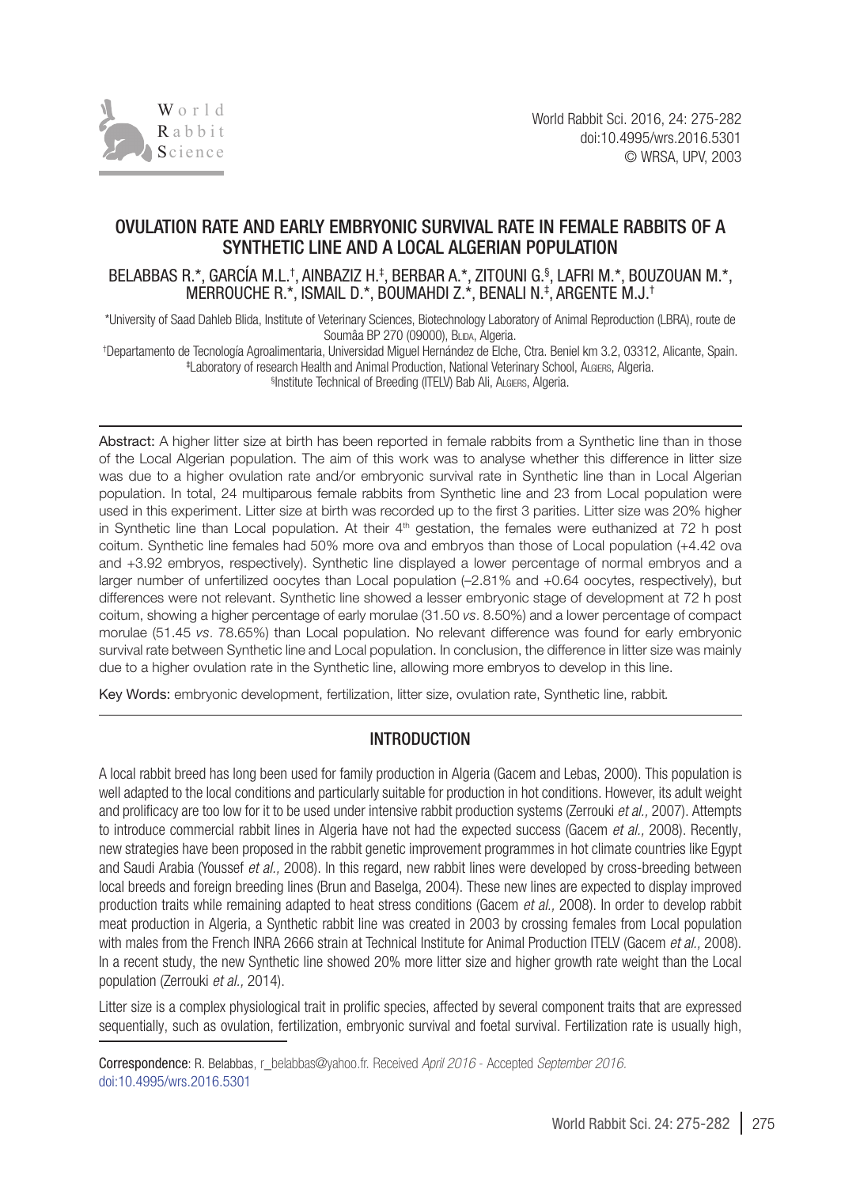

# OVULATION RATE AND EARLY EMBRYONIC SURVIVAL RATE IN FEMALE RABBITS OF A SYNTHETIC LINE AND A LOCAL ALGERIAN POPULATION

### BELABBAS R.\*, GARCIA M.L.†, AINBAZIZ H.‡, BERBAR A.\*, ZITOUNI G.§, LAFRI M.\*, BOUZOUAN M.\*, MERROUCHE R.\*, ISMAIL D.\*, BOUMAHDI Z.\*, BENALI N.‡ , ARGENTE M.J.†

\*University of Saad Dahleb Blida, Institute of Veterinary Sciences, Biotechnology Laboratory of Animal Reproduction (LBRA), route de Soumâa BP 270 (09000), BLIDA, Algeria.

† Departamento de Tecnología Agroalimentaria, Universidad Miguel Hernández de Elche, Ctra. Beniel km 3.2, 03312, Alicante, Spain. ‡ Laboratory of research Health and Animal Production, National Veterinary School, Algiers, Algeria. § Institute Technical of Breeding (ITELV) Bab Ali, Algiers, Algeria.

Abstract: A higher litter size at birth has been reported in female rabbits from a Synthetic line than in those of the Local Algerian population. The aim of this work was to analyse whether this difference in litter size was due to a higher ovulation rate and/or embryonic survival rate in Synthetic line than in Local Algerian population. In total, 24 multiparous female rabbits from Synthetic line and 23 from Local population were used in this experiment. Litter size at birth was recorded up to the first 3 parities. Litter size was 20% higher in Synthetic line than Local population. At their 4<sup>th</sup> gestation, the females were euthanized at 72 h post coitum. Synthetic line females had 50% more ova and embryos than those of Local population (+4.42 ova and +3.92 embryos, respectively). Synthetic line displayed a lower percentage of normal embryos and a larger number of unfertilized oocytes than Local population (–2.81% and +0.64 oocytes, respectively), but differences were not relevant. Synthetic line showed a lesser embryonic stage of development at 72 h post coitum, showing a higher percentage of early morulae (31.50 *vs.* 8.50%) and a lower percentage of compact morulae (51.45 *vs.* 78.65%) than Local population. No relevant difference was found for early embryonic survival rate between Synthetic line and Local population. In conclusion, the difference in litter size was mainly due to a higher ovulation rate in the Synthetic line, allowing more embryos to develop in this line.

Key Words: embryonic development, fertilization, litter size, ovulation rate, Synthetic line, rabbit*.*

# INTRODUCTION

A local rabbit breed has long been used for family production in Algeria (Gacem and Lebas, 2000). This population is well adapted to the local conditions and particularly suitable for production in hot conditions. However, its adult weight and prolificacy are too low for it to be used under intensive rabbit production systems (Zerrouki *et al.,* 2007). Attempts to introduce commercial rabbit lines in Algeria have not had the expected success (Gacem *et al.,* 2008). Recently, new strategies have been proposed in the rabbit genetic improvement programmes in hot climate countries like Egypt and Saudi Arabia (Youssef *et al.,* 2008). In this regard, new rabbit lines were developed by cross-breeding between local breeds and foreign breeding lines (Brun and Baselga, 2004). These new lines are expected to display improved production traits while remaining adapted to heat stress conditions (Gacem *et al.,* 2008). In order to develop rabbit meat production in Algeria, a Synthetic rabbit line was created in 2003 by crossing females from Local population with males from the French INRA 2666 strain at Technical Institute for Animal Production ITELV (Gacem *et al.,* 2008). In a recent study, the new Synthetic line showed 20% more litter size and higher growth rate weight than the Local population (Zerrouki *et al.,* 2014).

Litter size is a complex physiological trait in prolific species, affected by several component traits that are expressed sequentially, such as ovulation, fertilization, embryonic survival and foetal survival. Fertilization rate is usually high,

Correspondence: R. Belabbas, [r\\_belabbas@yahoo.fr.](mailto:r_belabbas@yahoo.fr) Received *April 2016* - Accepted *September 2016.* [doi:10.4995/wrs.2016.5301](http://dx.doi.org/10.4995/wrs.2016.5301)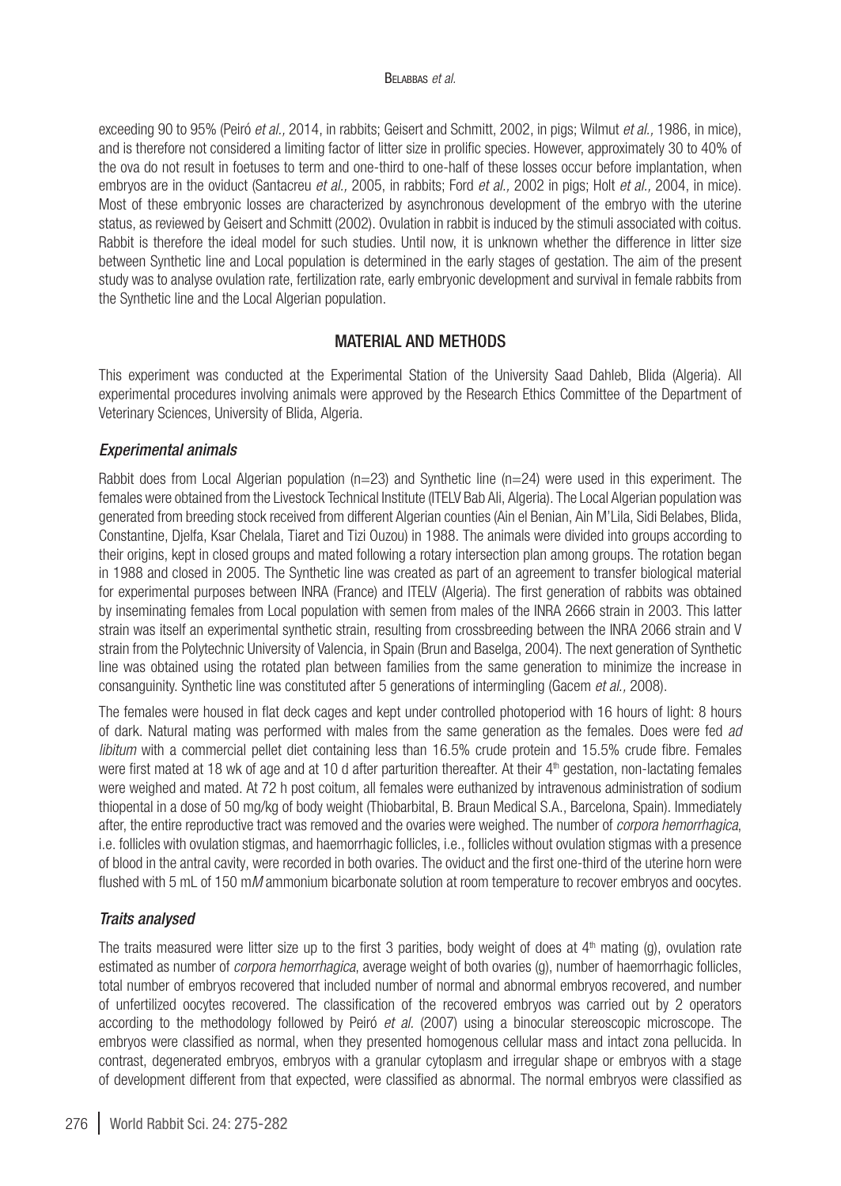exceeding 90 to 95% (Peiró *et al.,* 2014, in rabbits; Geisert and Schmitt, 2002, in pigs; Wilmut *et al.,* 1986, in mice), and is therefore not considered a limiting factor of litter size in prolific species. However, approximately 30 to 40% of the ova do not result in foetuses to term and one-third to one-half of these losses occur before implantation, when embryos are in the oviduct (Santacreu *et al.,* 2005, in rabbits; Ford *et al.,* 2002 in pigs; Holt *et al.,* 2004, in mice). Most of these embryonic losses are characterized by asynchronous development of the embryo with the uterine status, as reviewed by Geisert and Schmitt (2002). Ovulation in rabbit is induced by the stimuli associated with coitus. Rabbit is therefore the ideal model for such studies. Until now, it is unknown whether the difference in litter size between Synthetic line and Local population is determined in the early stages of gestation. The aim of the present study was to analyse ovulation rate, fertilization rate, early embryonic development and survival in female rabbits from the Synthetic line and the Local Algerian population.

# MATERIAL AND METHODS

This experiment was conducted at the Experimental Station of the University Saad Dahleb, Blida (Algeria). All experimental procedures involving animals were approved by the Research Ethics Committee of the Department of Veterinary Sciences, University of Blida, Algeria.

## *Experimental animals*

Rabbit does from Local Algerian population (n=23) and Synthetic line (n=24) were used in this experiment. The females were obtained from the Livestock Technical Institute (ITELV Bab Ali, Algeria). The Local Algerian population was generated from breeding stock received from different Algerian counties (Ain el Benian, Ain M'Lila, Sidi Belabes, Blida, Constantine, Djelfa, Ksar Chelala, Tiaret and Tizi Ouzou) in 1988. The animals were divided into groups according to their origins, kept in closed groups and mated following a rotary intersection plan among groups. The rotation began in 1988 and closed in 2005. The Synthetic line was created as part of an agreement to transfer biological material for experimental purposes between INRA (France) and ITELV (Algeria). The first generation of rabbits was obtained by inseminating females from Local population with semen from males of the INRA 2666 strain in 2003. This latter strain was itself an experimental synthetic strain, resulting from crossbreeding between the INRA 2066 strain and V strain from the Polytechnic University of Valencia, in Spain (Brun and Baselga, 2004). The next generation of Synthetic line was obtained using the rotated plan between families from the same generation to minimize the increase in consanguinity. Synthetic line was constituted after 5 generations of intermingling (Gacem *et al.,* 2008).

The females were housed in flat deck cages and kept under controlled photoperiod with 16 hours of light: 8 hours of dark. Natural mating was performed with males from the same generation as the females. Does were fed *ad libitum* with a commercial pellet diet containing less than 16.5% crude protein and 15.5% crude fibre. Females were first mated at 18 wk of age and at 10 d after parturition thereafter. At their 4<sup>th</sup> gestation, non-lactating females were weighed and mated. At 72 h post coitum, all females were euthanized by intravenous administration of sodium thiopental in a dose of 50 mg/kg of body weight (Thiobarbital, B. Braun Medical S.A., Barcelona, Spain). Immediately after, the entire reproductive tract was removed and the ovaries were weighed. The number of *corpora hemorrhagica*, i.e. follicles with ovulation stigmas, and haemorrhagic follicles, i.e., follicles without ovulation stigmas with a presence of blood in the antral cavity, were recorded in both ovaries. The oviduct and the first one-third of the uterine horn were flushed with 5 mL of 150 m*M* ammonium bicarbonate solution at room temperature to recover embryos and oocytes.

# *Traits analysed*

The traits measured were litter size up to the first 3 parities, body weight of does at  $4<sup>th</sup>$  mating (g), ovulation rate estimated as number of *corpora hemorrhagica*, average weight of both ovaries (g), number of haemorrhagic follicles, total number of embryos recovered that included number of normal and abnormal embryos recovered, and number of unfertilized oocytes recovered. The classification of the recovered embryos was carried out by 2 operators according to the methodology followed by Peiró *et al.* (2007) using a binocular stereoscopic microscope. The embryos were classified as normal, when they presented homogenous cellular mass and intact zona pellucida. In contrast, degenerated embryos, embryos with a granular cytoplasm and irregular shape or embryos with a stage of development different from that expected, were classified as abnormal. The normal embryos were classified as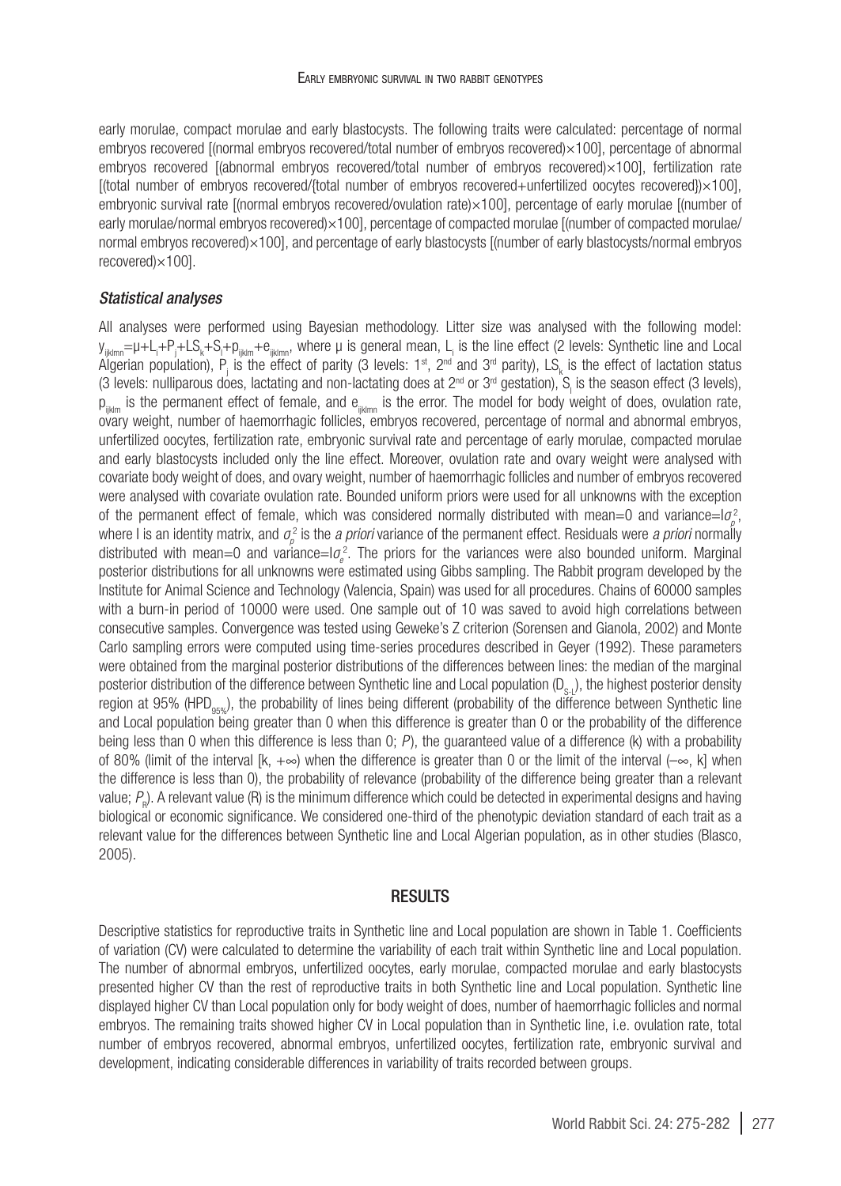early morulae, compact morulae and early blastocysts. The following traits were calculated: percentage of normal embryos recovered [(normal embryos recovered/total number of embryos recovered)×100], percentage of abnormal embryos recovered [(abnormal embryos recovered/total number of embryos recovered)×100], fertilization rate [(total number of embryos recovered/{total number of embryos recovered+unfertilized oocytes recovered})×100], embryonic survival rate [(normal embryos recovered/ovulation rate)×100], percentage of early morulae [(number of early morulae/normal embryos recovered)×100], percentage of compacted morulae [(number of compacted morulae/ normal embryos recovered)×100], and percentage of early blastocysts [(number of early blastocysts/normal embryos recovered)×100].

### *Statistical analyses*

All analyses were performed using Bayesian methodology. Litter size was analysed with the following model: y<sub>ijklmn</sub>=μ+L<sub>i</sub>+P<sub>j</sub>+LS<sub>k</sub>+S<sub>l</sub>+p<sub>ijklm</sub>+e<sub>ijklmn</sub>, where μ is general mean, L<sub>i</sub> is the line effect (2 levels: Synthetic line and Local Algerian population),  $P_j$  is the effect of parity (3 levels: 1st, 2nd and 3<sup>rd</sup> parity), LS<sub>k</sub> is the effect of lactation status (3 levels: nulliparous does, lactating and non-lactating does at 2<sup>nd</sup> or 3<sup>rd</sup> gestation), S<sub>i</sub> is the season effect (3 levels),  $p_{i_{lstm}}$  is the permanent effect of female, and  $e_{i_{lstm}}$  is the error. The model for body weight of does, ovulation rate, ovary weight, number of haemorrhagic follicles, embryos recovered, percentage of normal and abnormal embryos, unfertilized oocytes, fertilization rate, embryonic survival rate and percentage of early morulae, compacted morulae and early blastocysts included only the line effect. Moreover, ovulation rate and ovary weight were analysed with covariate body weight of does, and ovary weight, number of haemorrhagic follicles and number of embryos recovered were analysed with covariate ovulation rate. Bounded uniform priors were used for all unknowns with the exception of the permanent effect of female, which was considered normally distributed with mean=0 and variance=l $\sigma_\rho^2$ , where I is an identity matrix, and *σ<sub>ρ</sub>* is the *a priori* variance of the permanent effect. Residuals were *a priori* normally distributed with mean=0 and variance=I $\sigma_e^2$ . The priors for the variances were also bounded uniform. Marginal posterior distributions for all unknowns were estimated using Gibbs sampling. The Rabbit program developed by the Institute for Animal Science and Technology (Valencia, Spain) was used for all procedures. Chains of 60000 samples with a burn-in period of 10000 were used. One sample out of 10 was saved to avoid high correlations between consecutive samples. Convergence was tested using Geweke's Z criterion (Sorensen and Gianola, 2002) and Monte Carlo sampling errors were computed using time-series procedures described in Geyer (1992). These parameters were obtained from the marginal posterior distributions of the differences between lines: the median of the marginal posterior distribution of the difference between Synthetic line and Local population  $(D_0, \cdot)$ , the highest posterior density region at 95% (HPD<sub>05%</sub>), the probability of lines being different (probability of the difference between Synthetic line and Local population being greater than 0 when this difference is greater than 0 or the probability of the difference being less than 0 when this difference is less than 0; *P* ), the guaranteed value of a difference (k) with a probability of 80% (limit of the interval  $[k, +\infty)$  when the difference is greater than 0 or the limit of the interval  $(-\infty, k]$  when the difference is less than 0), the probability of relevance (probability of the difference being greater than a relevant value;  $P_{\rm p}$ ). A relevant value (R) is the minimum difference which could be detected in experimental designs and having biological or economic significance. We considered one-third of the phenotypic deviation standard of each trait as a relevant value for the differences between Synthetic line and Local Algerian population, as in other studies (Blasco, 2005).

## **RESULTS**

Descriptive statistics for reproductive traits in Synthetic line and Local population are shown in [Table 1.](#page-3-0) Coefficients of variation (CV) were calculated to determine the variability of each trait within Synthetic line and Local population. The number of abnormal embryos, unfertilized oocytes, early morulae, compacted morulae and early blastocysts presented higher CV than the rest of reproductive traits in both Synthetic line and Local population. Synthetic line displayed higher CV than Local population only for body weight of does, number of haemorrhagic follicles and normal embryos. The remaining traits showed higher CV in Local population than in Synthetic line, i.e. ovulation rate, total number of embryos recovered, abnormal embryos, unfertilized oocytes, fertilization rate, embryonic survival and development, indicating considerable differences in variability of traits recorded between groups.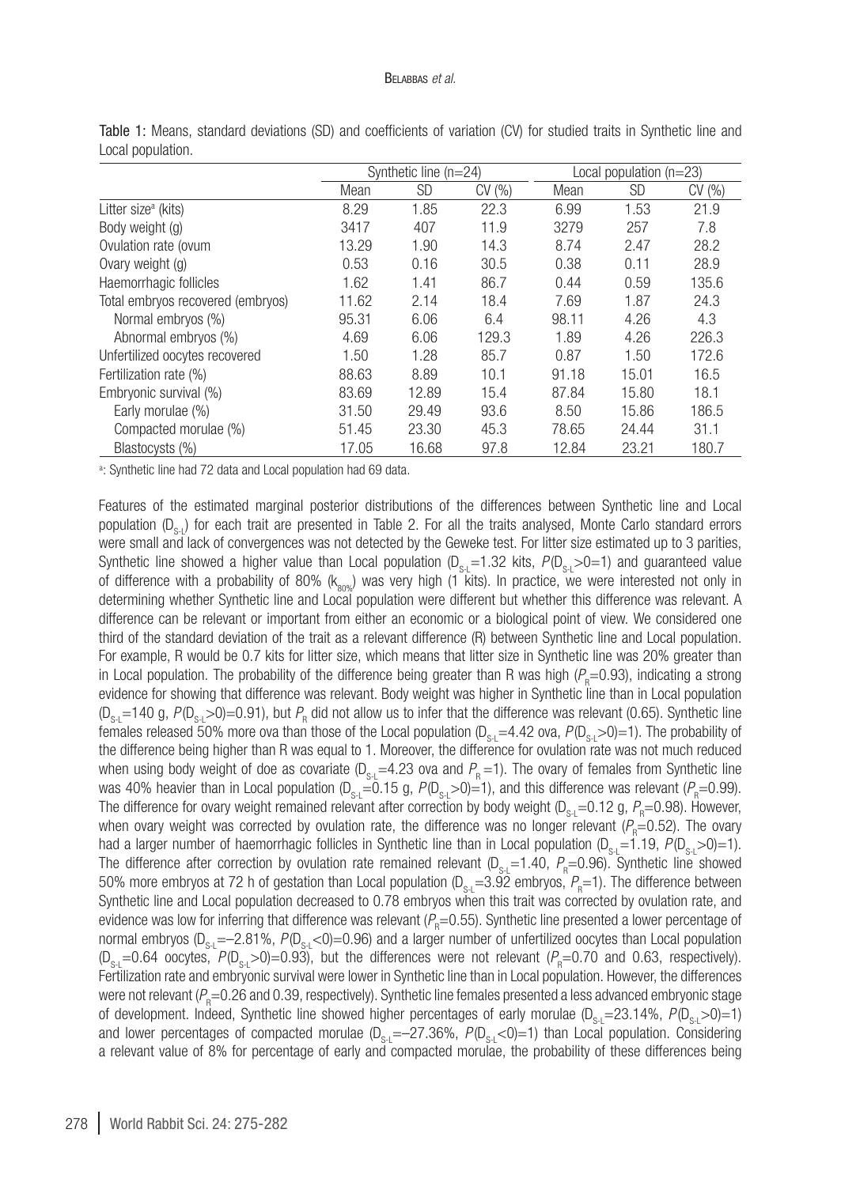#### Belabbas *et al.*

|                                   | Synthetic line $(n=24)$ |           |       | Local population (n=23) |           |       |
|-----------------------------------|-------------------------|-----------|-------|-------------------------|-----------|-------|
|                                   | Mean                    | <b>SD</b> | CV(%) | Mean                    | <b>SD</b> | CV(%) |
| Litter size <sup>a</sup> (kits)   | 8.29                    | 1.85      | 22.3  | 6.99                    | 1.53      | 21.9  |
| Body weight (g)                   | 3417                    | 407       | 11.9  | 3279                    | 257       | 7.8   |
| Ovulation rate (ovum              | 13.29                   | 1.90      | 14.3  | 8.74                    | 2.47      | 28.2  |
| Ovary weight (g)                  | 0.53                    | 0.16      | 30.5  | 0.38                    | 0.11      | 28.9  |
| Haemorrhagic follicles            | 1.62                    | 1.41      | 86.7  | 0.44                    | 0.59      | 135.6 |
| Total embryos recovered (embryos) | 11.62                   | 2.14      | 18.4  | 7.69                    | 1.87      | 24.3  |
| Normal embryos (%)                | 95.31                   | 6.06      | 6.4   | 98.11                   | 4.26      | 4.3   |
| Abnormal embryos (%)              | 4.69                    | 6.06      | 129.3 | 1.89                    | 4.26      | 226.3 |
| Unfertilized oocytes recovered    | 1.50                    | 1.28      | 85.7  | 0.87                    | 1.50      | 172.6 |
| Fertilization rate (%)            | 88.63                   | 8.89      | 10.1  | 91.18                   | 15.01     | 16.5  |
| Embryonic survival (%)            | 83.69                   | 12.89     | 15.4  | 87.84                   | 15.80     | 18.1  |
| Early morulae (%)                 | 31.50                   | 29.49     | 93.6  | 8.50                    | 15.86     | 186.5 |
| Compacted morulae (%)             | 51.45                   | 23.30     | 45.3  | 78.65                   | 24.44     | 31.1  |
| Blastocysts (%)                   | 17.05                   | 16.68     | 97.8  | 12.84                   | 23.21     | 180.7 |

<span id="page-3-0"></span>Table 1: Means, standard deviations (SD) and coefficients of variation (CV) for studied traits in Synthetic line and Local population.

a : Synthetic line had 72 data and Local population had 69 data.

Features of the estimated marginal posterior distributions of the differences between Synthetic line and Local population  $(D_{s})$  for each trait are presented in [Table 2](#page-4-0). For all the traits analysed, Monte Carlo standard errors were small and lack of convergences was not detected by the Geweke test. For litter size estimated up to 3 parities, Synthetic line showed a higher value than Local population  $(D_{\rm c} = 1.32$  kits,  $P(D_{\rm c} > 0=1)$  and guaranteed value of difference with a probability of 80% ( $k_{\text{av}}$ ) was very high (1 kits). In practice, we were interested not only in determining whether Synthetic line and Local population were different but whether this difference was relevant. A difference can be relevant or important from either an economic or a biological point of view. We considered one third of the standard deviation of the trait as a relevant difference (R) between Synthetic line and Local population. For example, R would be 0.7 kits for litter size, which means that litter size in Synthetic line was 20% greater than in Local population. The probability of the difference being greater than R was high  $(P_\text{\tiny R}\text{=}0.93)$ , indicating a strong evidence for showing that difference was relevant. Body weight was higher in Synthetic line than in Local population (D<sub>s-L</sub>=140 g, *P*(D<sub>s-L</sub>>0)=0.91), but  $P_R$  did not allow us to infer that the difference was relevant (0.65). Synthetic line females released 50% more ova than those of the Local population  $(D_{s_1}=4.42$  ova,  $P(D_{s_1}>0)=1$ ). The probability of the difference being higher than R was equal to 1. Moreover, the difference for ovulation rate was not much reduced when using body weight of doe as covariate  $(D_{s-}=4.23$  ova and  $P_{R}=1$ ). The ovary of females from Synthetic line was 40% heavier than in Local population (D<sub>s-L</sub>=0.15 g, *P*(D<sub>s-L</sub>>0)=1), and this difference was relevant (*P*<sub>R</sub>=0.99). The difference for ovary weight remained relevant after correction by body weight (D<sub>s-L</sub>=0.12 g,  $P_{\rm R}$ =0.98). However, when ovary weight was corrected by ovulation rate, the difference was no longer relevant (P<sub>R</sub>=0.52). The ovary had a larger number of haemorrhagic follicles in Synthetic line than in Local population  $(D_{s-1}=1.19, P(D_{s-1}>0)=1)$ . The difference after correction by ovulation rate remained relevant (D<sub>s-L</sub>=1.40, *P*<sub>R</sub>=0.96). Synthetic line showed 50% more embryos at 72 h of gestation than Local population (D<sub>s-L</sub>=3.92 embryos, P<sub>R</sub>=1). The difference between Synthetic line and Local population decreased to 0.78 embryos when this trait was corrected by ovulation rate, and evidence was low for inferring that difference was relevant (P<sub>R</sub>=0.55). Synthetic line presented a lower percentage of normal embryos (D<sub>S-L</sub>=–2.81%, *P*(D<sub>S-L</sub><0)=0.96) and a larger number of unfertilized oocytes than Local population  $(D_{\rm S-L}=0.64$  oocytes,  $P(D_{\rm S-L}>0)=0.93$ ), but the differences were not relevant  $(P_{\rm R}=0.70$  and 0.63, respectively). Fertilization rate and embryonic survival were lower in Synthetic line than in Local population. However, the differences were not relevant ( $P_{\rm R}$ =0.26 and 0.39, respectively). Synthetic line females presented a less advanced embryonic stage of development. Indeed, Synthetic line showed higher percentages of early morulae  $(D_{\rm s} = 23.14\%$ ,  $P(D_{\rm s} > 0) = 1$ ) and lower percentages of compacted morulae  $(D_{S-1}=-27.36\%$ ,  $P(D_{S-1}<0)=1$ ) than Local population. Considering a relevant value of 8% for percentage of early and compacted morulae, the probability of these differences being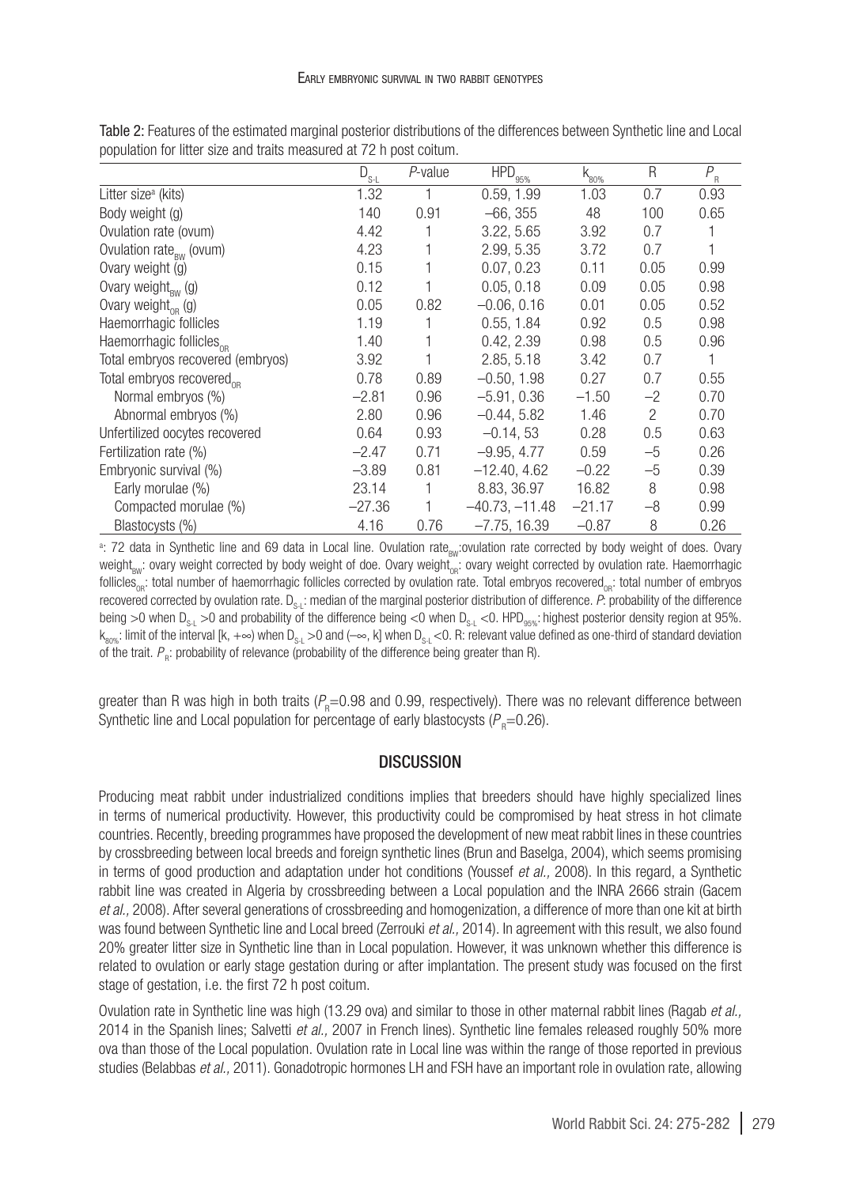|                                       | $D_{s-L}$ | P-value | $\overline{HPD}_{95\%}$ | $k_{\rm 80\%}$ | R              | $P_{R}$ |
|---------------------------------------|-----------|---------|-------------------------|----------------|----------------|---------|
| Litter size <sup>a</sup> (kits)       | 1.32      |         | 0.59, 1.99              | 1.03           | 0.7            | 0.93    |
| Body weight (g)                       | 140       | 0.91    | $-66.355$               | 48             | 100            | 0.65    |
| Ovulation rate (ovum)                 | 4.42      |         | 3.22, 5.65              | 3.92           | 0.7            |         |
| Ovulation rate <sub>RW</sub> (ovum)   | 4.23      |         | 2.99, 5.35              | 3.72           | 0.7            |         |
| Ovary weight (g)                      | 0.15      |         | 0.07, 0.23              | 0.11           | 0.05           | 0.99    |
| Ovary weight $_{\rm RW}$ (g)          | 0.12      |         | 0.05.0.18               | 0.09           | 0.05           | 0.98    |
| Ovary weight $_{\text{OR}}$ (g)       | 0.05      | 0.82    | $-0.06, 0.16$           | 0.01           | 0.05           | 0.52    |
| Haemorrhagic follicles                | 1.19      |         | 0.55, 1.84              | 0.92           | 0.5            | 0.98    |
| Haemorrhagic follicles <sub>or</sub>  | 1.40      |         | 0.42, 2.39              | 0.98           | 0.5            | 0.96    |
| Total embryos recovered (embryos)     | 3.92      |         | 2.85, 5.18              | 3.42           | 0.7            |         |
| Total embryos recovered <sub>op</sub> | 0.78      | 0.89    | $-0.50, 1.98$           | 0.27           | 0.7            | 0.55    |
| Normal embryos (%)                    | $-2.81$   | 0.96    | $-5.91, 0.36$           | $-1.50$        | $-2$           | 0.70    |
| Abnormal embryos (%)                  | 2.80      | 0.96    | $-0.44, 5.82$           | 1.46           | $\overline{c}$ | 0.70    |
| Unfertilized oocytes recovered        | 0.64      | 0.93    | $-0.14, 53$             | 0.28           | 0.5            | 0.63    |
| Fertilization rate (%)                | $-2.47$   | 0.71    | $-9.95, 4.77$           | 0.59           | $-5$           | 0.26    |
| Embryonic survival (%)                | $-3.89$   | 0.81    | $-12.40, 4.62$          | $-0.22$        | $-5$           | 0.39    |
| Early morulae (%)                     | 23.14     | 1       | 8.83, 36.97             | 16.82          | 8              | 0.98    |
| Compacted morulae (%)                 | $-27.36$  |         | $-40.73, -11.48$        | $-21.17$       | $-8$           | 0.99    |
| Blastocysts (%)                       | 4.16      | 0.76    | $-7.75, 16.39$          | $-0.87$        | 8              | 0.26    |

<span id="page-4-0"></span>Table 2: Features of the estimated marginal posterior distributions of the differences between Synthetic line and Local population for litter size and traits measured at 72 h post coitum.

<sup>a</sup>: 72 data in Synthetic line and 69 data in Local line. Ovulation rate<sub>BW</sub>:ovulation rate corrected by body weight of does. Ovary weight $_{\text{BW}}$ : ovary weight corrected by body weight of doe. Ovary weight<sub>or</sub>: ovary weight corrected by ovulation rate. Haemorrhagic follicles<sub>na</sub>: total number of haemorrhagic follicles corrected by ovulation rate. Total embryos recovered<sub>on</sub>: total number of embryos recovered corrected by ovulation rate. D<sub>S-L</sub>: median of the marginal posterior distribution of difference. P: probability of the difference being >0 when D<sub>S-L</sub> >0 and probability of the difference being <0 when D<sub>S-L</sub> <0. HPD<sub>95%</sub>: highest posterior density region at 95%.  $k_{\text{apac}}$ : limit of the interval [k, +∞) when D<sub>s-L</sub> >0 and (–∞, k] when D<sub>s-L</sub> <0. R: relevant value defined as one-third of standard deviation of the trait.  $P_{\textrm{\tiny R}}$ : probability of relevance (probability of the difference being greater than R).

greater than R was high in both traits (P<sub>R</sub>=0.98 and 0.99, respectively). There was no relevant difference between Synthetic line and Local population for percentage of early blastocysts ( $\!cal P}_{_{\rm R}}\!\!=\!\!0.26$ ).

### **DISCUSSION**

Producing meat rabbit under industrialized conditions implies that breeders should have highly specialized lines in terms of numerical productivity. However, this productivity could be compromised by heat stress in hot climate countries. Recently, breeding programmes have proposed the development of new meat rabbit lines in these countries by crossbreeding between local breeds and foreign synthetic lines (Brun and Baselga, 2004), which seems promising in terms of good production and adaptation under hot conditions (Youssef *et al.,* 2008). In this regard, a Synthetic rabbit line was created in Algeria by crossbreeding between a Local population and the INRA 2666 strain (Gacem *et al.,* 2008). After several generations of crossbreeding and homogenization, a difference of more than one kit at birth was found between Synthetic line and Local breed (Zerrouki *et al.,* 2014). In agreement with this result, we also found 20% greater litter size in Synthetic line than in Local population. However, it was unknown whether this difference is related to ovulation or early stage gestation during or after implantation. The present study was focused on the first stage of gestation, i.e. the first 72 h post coitum.

Ovulation rate in Synthetic line was high (13.29 ova) and similar to those in other maternal rabbit lines (Ragab *et al.,* 2014 in the Spanish lines; Salvetti *et al.,* 2007 in French lines). Synthetic line females released roughly 50% more ova than those of the Local population. Ovulation rate in Local line was within the range of those reported in previous studies (Belabbas *et al.,* 2011). Gonadotropic hormones LH and FSH have an important role in ovulation rate, allowing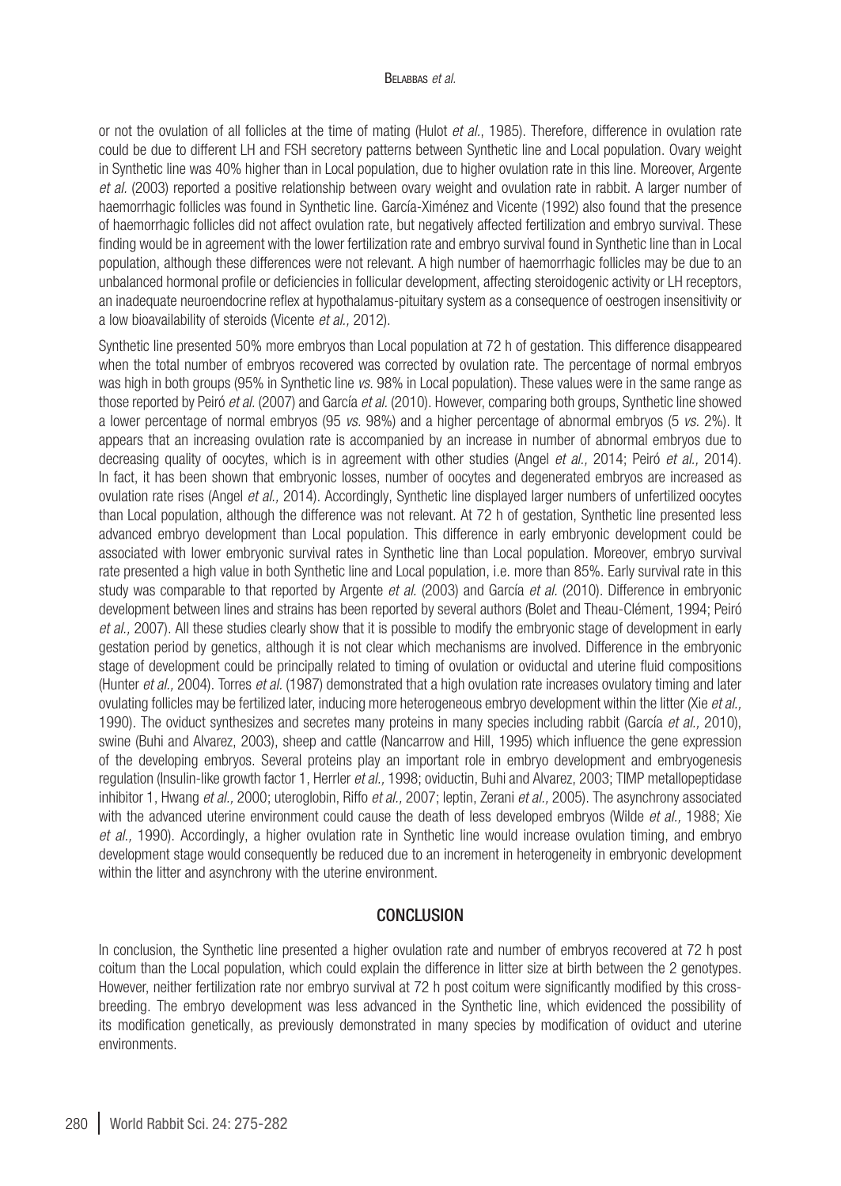#### Belabbas *et al.*

or not the ovulation of all follicles at the time of mating (Hulot *et al.*, 1985). Therefore, difference in ovulation rate could be due to different LH and FSH secretory patterns between Synthetic line and Local population. Ovary weight in Synthetic line was 40% higher than in Local population, due to higher ovulation rate in this line. Moreover, Argente *et al.* (2003) reported a positive relationship between ovary weight and ovulation rate in rabbit. A larger number of haemorrhagic follicles was found in Synthetic line. García-Ximénez and Vicente (1992) also found that the presence of haemorrhagic follicles did not affect ovulation rate, but negatively affected fertilization and embryo survival. These finding would be in agreement with the lower fertilization rate and embryo survival found in Synthetic line than in Local population, although these differences were not relevant. A high number of haemorrhagic follicles may be due to an unbalanced hormonal profile or deficiencies in follicular development, affecting steroidogenic activity or LH receptors, an inadequate neuroendocrine reflex at hypothalamus-pituitary system as a consequence of oestrogen insensitivity or a low bioavailability of steroids (Vicente *et al.,* 2012).

Synthetic line presented 50% more embryos than Local population at 72 h of gestation. This difference disappeared when the total number of embryos recovered was corrected by ovulation rate. The percentage of normal embryos was high in both groups (95% in Synthetic line *vs.* 98% in Local population). These values were in the same range as those reported by Peiró *et al.* (2007) and García *et al.* (2010). However, comparing both groups, Synthetic line showed a lower percentage of normal embryos (95 *vs.* 98%) and a higher percentage of abnormal embryos (5 *vs.* 2%). It appears that an increasing ovulation rate is accompanied by an increase in number of abnormal embryos due to decreasing quality of oocytes, which is in agreement with other studies (Angel *et al.,* 2014; Peiró *et al.,* 2014). In fact, it has been shown that embryonic losses, number of oocytes and degenerated embryos are increased as ovulation rate rises (Angel *et al.,* 2014). Accordingly, Synthetic line displayed larger numbers of unfertilized oocytes than Local population, although the difference was not relevant. At 72 h of gestation, Synthetic line presented less advanced embryo development than Local population. This difference in early embryonic development could be associated with lower embryonic survival rates in Synthetic line than Local population. Moreover, embryo survival rate presented a high value in both Synthetic line and Local population, i.e. more than 85%. Early survival rate in this study was comparable to that reported by Argente *et al.* (2003) and García *et al.* (2010). Difference in embryonic development between lines and strains has been reported by several authors (Bolet and Theau-Clément*,* 1994; Peiró *et al.,* 2007). All these studies clearly show that it is possible to modify the embryonic stage of development in early gestation period by genetics, although it is not clear which mechanisms are involved. Difference in the embryonic stage of development could be principally related to timing of ovulation or oviductal and uterine fluid compositions (Hunter *et al.,* 2004). Torres *et al.* (1987) demonstrated that a high ovulation rate increases ovulatory timing and later ovulating follicles may be fertilized later, inducing more heterogeneous embryo development within the litter (Xie *et al.,* 1990). The oviduct synthesizes and secretes many proteins in many species including rabbit (García *et al.,* 2010), swine (Buhi and Alvarez, 2003), sheep and cattle (Nancarrow and Hill, 1995) which influence the gene expression of the developing embryos. Several proteins play an important role in embryo development and embryogenesis regulation (Insulin-like growth factor 1, Herrler *et al.,* 1998; oviductin, Buhi and Alvarez, 2003; TIMP metallopeptidase inhibitor 1, Hwang *et al.,* 2000; uteroglobin, Riffo *et al.,* 2007; leptin, Zerani *et al.,* 2005). The asynchrony associated with the advanced uterine environment could cause the death of less developed embryos (Wilde *et al.,* 1988; Xie *et al.,* 1990). Accordingly, a higher ovulation rate in Synthetic line would increase ovulation timing, and embryo development stage would consequently be reduced due to an increment in heterogeneity in embryonic development within the litter and asynchrony with the uterine environment.

## **CONCLUSION**

In conclusion, the Synthetic line presented a higher ovulation rate and number of embryos recovered at 72 h post coitum than the Local population, which could explain the difference in litter size at birth between the 2 genotypes. However, neither fertilization rate nor embryo survival at 72 h post coitum were significantly modified by this crossbreeding. The embryo development was less advanced in the Synthetic line, which evidenced the possibility of its modification genetically, as previously demonstrated in many species by modification of oviduct and uterine environments.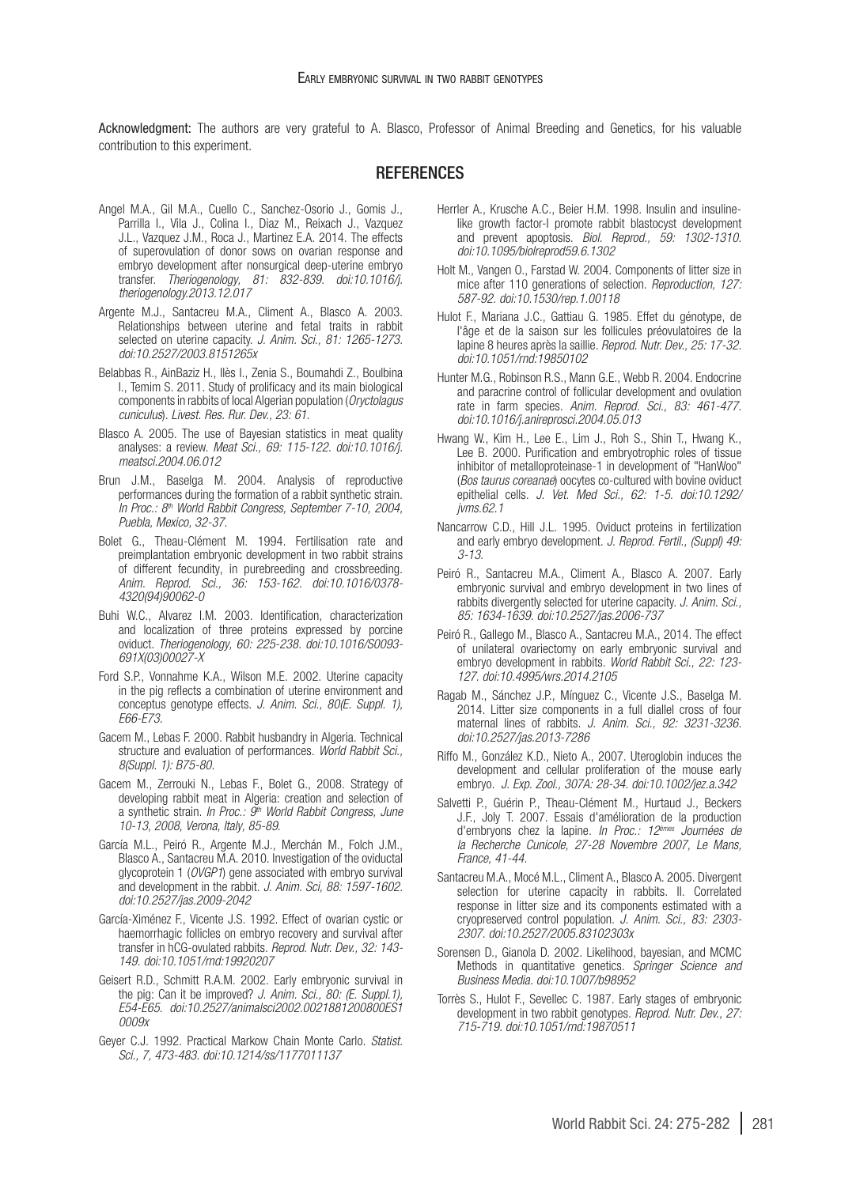Acknowledgment: The authors are very grateful to A. Blasco, Professor of Animal Breeding and Genetics, for his valuable contribution to this experiment.

#### **REFERENCES**

- Angel M.A., Gil M.A., Cuello C., Sanchez-Osorio J., Gomis J., Parrilla I., Vila J., Colina I., Diaz M., Reixach J., Vazquez J.L., Vazquez J.M., Roca J., Martinez E.A. 2014. The effects of superovulation of donor sows on ovarian response and embryo development after nonsurgical deep-uterine embryo transfer. *Theriogenology, 81: 832-839. [doi:10.1016/j.](http://dx.doi.org/10.1016/j.theriogenology.2013.12.017) [theriogenology.2013.12.017](http://dx.doi.org/10.1016/j.theriogenology.2013.12.017)*
- Argente M.J., Santacreu M.A., Climent A., Blasco A. 2003. Relationships between uterine and fetal traits in rabbit selected on uterine capacity. *J. Anim. Sci., 81: 1265-1273. [doi:10.2527/2003.8151265x](http://dx.doi.org/10.2527/2003.8151265x)*
- Belabbas R., AinBaziz H., Ilès I., Zenia S., Boumahdi Z., Boulbina I., Temim S. 2011. Study of prolificacy and its main biological components in rabbits of local Algerian population (*Oryctolagus cuniculus*). *Livest. Res. Rur. Dev., 23: 61*.
- Blasco A. 2005. The use of Bayesian statistics in meat quality analyses: a review. *Meat Sci., 69: 115-122. [doi:10.1016/j.](http://dx.doi.org/10.1016/j.meatsci.2004.06.012) [meatsci.2004.06.012](http://dx.doi.org/10.1016/j.meatsci.2004.06.012)*
- Brun J.M., Baselga M. 2004. Analysis of reproductive performances during the formation of a rabbit synthetic strain. *In Proc.: 8th World Rabbit Congress, September 7-10, 2004, Puebla, Mexico, 32-37.*
- Bolet G., Theau-Clément M. 1994. Fertilisation rate and preimplantation embryonic development in two rabbit strains of different fecundity, in purebreeding and crossbreeding. *Anim. Reprod. Sci., 36: 153-162. [doi:10.1016/0378-](http://dx.doi.org/10.1016/0378-4320(94)90062-0) [4320\(94\)90062-0](http://dx.doi.org/10.1016/0378-4320(94)90062-0)*
- Buhi W.C., Alvarez I.M. 2003. Identification, characterization and localization of three proteins expressed by porcine oviduct. *Theriogenology, 60: 225-238. [doi:10.1016/S0093-](http://dx.doi.org/10.1016/S0093-691X(03)00027-X) [691X\(03\)00027-X](http://dx.doi.org/10.1016/S0093-691X(03)00027-X)*
- Ford S.P., Vonnahme K.A., Wilson M.E. 2002. Uterine capacity in the pig reflects a combination of uterine environment and conceptus genotype effects. *J. Anim. Sci., 80(E. Suppl. 1), E66-E73.*
- Gacem M., Lebas F. 2000. Rabbit husbandry in Algeria. Technical structure and evaluation of performances. *World Rabbit Sci., 8(Suppl. 1): B75-80.*
- Gacem M., Zerrouki N., Lebas F., Bolet G., 2008. Strategy of developing rabbit meat in Algeria: creation and selection of a synthetic strain. *In Proc.: 9th World Rabbit Congress, June 10-13, 2008, Verona, Italy, 85-89*.
- García M.L., Peiró R., Argente M.J., Merchán M., Folch J.M., Blasco A., Santacreu M.A. 2010. Investigation of the oviductal glycoprotein 1 (*OVGP1*) gene associated with embryo survival and development in the rabbit. *J. Anim. Sci, 88: 1597-1602. [doi:10.2527/jas.2009-2042](http://dx.doi.org/10.2527/jas.2009-2042)*
- García-Ximénez F., Vicente J.S. 1992. Effect of ovarian cystic or haemorrhagic follicles on embryo recovery and survival after transfer in hCG-ovulated rabbits. *Reprod. Nutr. Dev., 32: 143- 149. [doi:10.1051/rnd:19920207](http://dx.doi.org/10.1051/rnd:19920207)*
- Geisert R.D., Schmitt R.A.M. 2002. Early embryonic survival in the pig: Can it be improved? *J. Anim. Sci., 80: (E. Suppl.1), E54-E65. [doi:10.2527/animalsci2002.0021881200800ES1](http://dx.doi.org/10.2527/animalsci2002.0021881200800ES10009x) [0009x](http://dx.doi.org/10.2527/animalsci2002.0021881200800ES10009x)*
- Geyer C.J. 1992. Practical Markow Chain Monte Carlo. *Statist. Sci., 7, 473-483. [doi:10.1214/ss/1177011137](http://dx.doi.org/10.1214/ss/1177011137)*
- Herrler A., Krusche A.C., Beier H.M. 1998. Insulin and insulinelike growth factor-I promote rabbit blastocyst development and prevent apoptosis. *Biol. Reprod., 59: 1302-1310. [doi:10.1095/biolreprod59.6.1302](http://dx.doi.org/10.1095/biolreprod59.6.1302)*
- Holt M., Vangen O., Farstad W. 2004. Components of litter size in mice after 110 generations of selection. *Reproduction, 127: 587-92. [doi:10.1530/rep.1.00118](http://dx.doi.org/10.1530/rep.1.00118)*
- Hulot F., Mariana J.C., Gattiau G. 1985. Effet du génotype, de l'âge et de la saison sur les follicules préovulatoires de la lapine 8 heures après la saillie. *Reprod. Nutr. Dev., 25: 17-32. [doi:10.1051/rnd:19850102](http://dx.doi.org/10.1051/rnd:19850102)*
- Hunter M.G., Robinson R.S., Mann G.E., Webb R. 2004. Endocrine and paracrine control of follicular development and ovulation rate in farm species. *Anim. Reprod. Sci., 83: 461-477. [doi:10.1016/j.anireprosci.2004.05.013](http://dx.doi.org/10.1016/j.anireprosci.2004.05.013)*
- Hwang W., Kim H., Lee E., Lim J., Roh S., Shin T., Hwang K., Lee B. 2000. Purification and embryotrophic roles of tissue inhibitor of metalloproteinase-1 in development of "HanWoo" (*Bos taurus coreanae*) oocytes co-cultured with bovine oviduct epithelial cells. *J. Vet. Med Sci., 62: 1-5. [doi:10.1292/](http://dx.doi.org/10.1292/jvms.62.1) [jvms.62.1](http://dx.doi.org/10.1292/jvms.62.1)*
- Nancarrow C.D., Hill J.L. 1995. Oviduct proteins in fertilization and early embryo development. *J. Reprod. Fertil., (Suppl) 49: 3-13.*
- Peiró R., Santacreu M.A., Climent A., Blasco A. 2007. Early embryonic survival and embryo development in two lines of rabbits divergently selected for uterine capacity. *J. Anim. Sci., 85: 1634-1639. [doi:10.2527/jas.2006-737](http://dx.doi.org/10.2527/jas.2006-737)*
- Peiró R., Gallego M., Blasco A., Santacreu M.A., 2014. The effect of unilateral ovariectomy on early embryonic survival and embryo development in rabbits. *World Rabbit Sci., 22: 123- 127. [doi:10.4995/wrs.2014.2105](http://dx.doi.org/10.4995/wrs.2014.2105)*
- Ragab M., Sánchez J.P., Mínguez C., Vicente J.S., Baselga M. 2014. Litter size components in a full diallel cross of four maternal lines of rabbits. *J. Anim. Sci., 92: 3231-3236. [doi:10.2527/jas.2013-7286](http://dx.doi.org/10.2527/jas.2013-7286)*
- Riffo M., González K.D., Nieto A., 2007. Uteroglobin induces the development and cellular proliferation of the mouse early embryo. *J. Exp. Zool., 307A: 28-34. [doi:10.1002/jez.a.342](http://dx.doi.org/10.1002/jez.a.342)*
- Salvetti P., Guérin P., Theau-Clément M., Hurtaud J., Beckers J.F., Joly T. 2007. Essais d'amélioration de la production d'embryons chez la lapine. *In Proc.: 12èmes Journées de la Recherche Cunicole, 27-28 Novembre 2007, Le Mans, France, 41-44.*
- Santacreu M.A., Mocé M.L., Climent A., Blasco A. 2005. Divergent selection for uterine capacity in rabbits. II. Correlated response in litter size and its components estimated with a cryopreserved control population. *J. Anim. Sci., 83: 2303- 2307. [doi:10.2527/2005.83102303x](http://dx.doi.org/10.2527/2005.83102303x)*
- Sorensen D., Gianola D. 2002. Likelihood, bayesian, and MCMC Methods in quantitative genetics. *Springer Science and Business Media. [doi:10.1007/b98952](http://dx.doi.org/10.1007/b98952)*
- Torrès S., Hulot F., Sevellec C. 1987. Early stages of embryonic development in two rabbit genotypes. *Reprod. Nutr. Dev., 27: 715-719. [doi:10.1051/rnd:19870511](http://dx.doi.org/10.1051/rnd:19870511)*